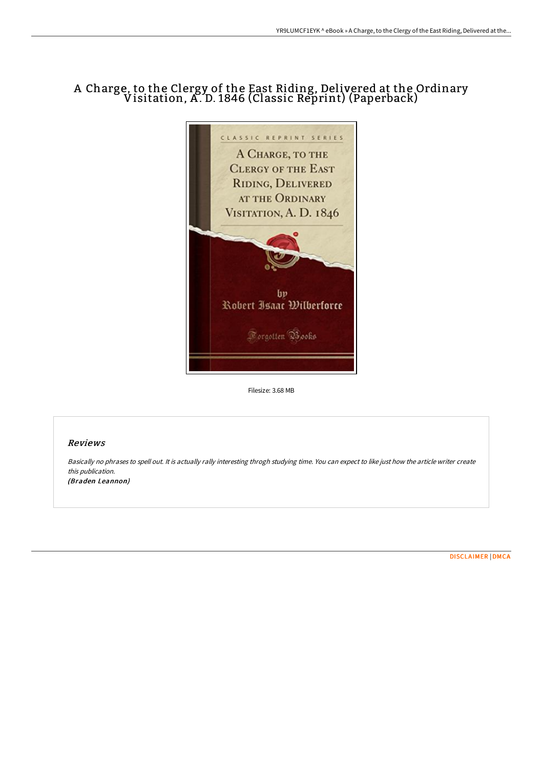## A Charge, to the Clergy of the East Riding, Delivered at the Ordinary Visitation, A . D. 1846 (Classic Reprint) (Paperback)



Filesize: 3.68 MB

## Reviews

Basically no phrases to spell out. It is actually rally interesting throgh studying time. You can expect to like just how the article writer create this publication. (Braden Leannon)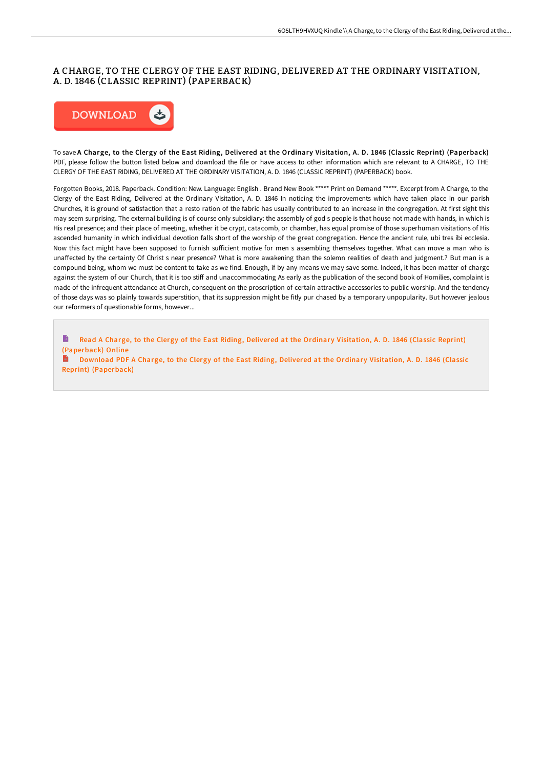## A CHARGE, TO THE CLERGY OF THE EAST RIDING, DELIVERED AT THE ORDINARY VISITATION, A. D. 1846 (CLASSIC REPRINT) (PAPERBACK)



To save A Charge, to the Clergy of the East Riding, Delivered at the Ordinary Visitation, A. D. 1846 (Classic Reprint) (Paperback) PDF, please follow the button listed below and download the file or have access to other information which are relevant to A CHARGE, TO THE CLERGY OF THE EAST RIDING, DELIVERED AT THE ORDINARY VISITATION, A. D. 1846 (CLASSIC REPRINT) (PAPERBACK) book.

Forgotten Books, 2018. Paperback. Condition: New. Language: English . Brand New Book \*\*\*\*\* Print on Demand \*\*\*\*\*. Excerpt from A Charge, to the Clergy of the East Riding, Delivered at the Ordinary Visitation, A. D. 1846 In noticing the improvements which have taken place in our parish Churches, it is ground of satisfaction that a resto ration of the fabric has usually contributed to an increase in the congregation. At first sight this may seem surprising. The external building is of course only subsidiary: the assembly of god s people is that house not made with hands, in which is His real presence; and their place of meeting, whether it be crypt, catacomb, or chamber, has equal promise of those superhuman visitations of His ascended humanity in which individual devotion falls short of the worship of the great congregation. Hence the ancient rule, ubi tres ibi ecclesia. Now this fact might have been supposed to furnish sufficient motive for men s assembling themselves together. What can move a man who is unaffected by the certainty Of Christ s near presence? What is more awakening than the solemn realities of death and judgment.? But man is a compound being, whom we must be content to take as we find. Enough, if by any means we may save some. Indeed, it has been matter of charge against the system of our Church, that it is too stiff and unaccommodating As early as the publication of the second book of Homilies, complaint is made of the infrequent attendance at Church, consequent on the proscription of certain attractive accessories to public worship. And the tendency of those days was so plainly towards superstition, that its suppression might be fitly pur chased by a temporary unpopularity. But however jealous our reformers of questionable forms, however...

B Read A Charge, to the Clergy of the East Riding, Delivered at the Ordinary Visitation, A. D. 1846 (Classic Reprint) [\(Paperback\)](http://albedo.media/a-charge-to-the-clergy-of-the-east-riding-delive.html) Online

Download PDF A Charge, to the Clergy of the East Riding, Delivered at the Ordinary Visitation, A. D. 1846 (Classic Reprint) [\(Paperback\)](http://albedo.media/a-charge-to-the-clergy-of-the-east-riding-delive.html)